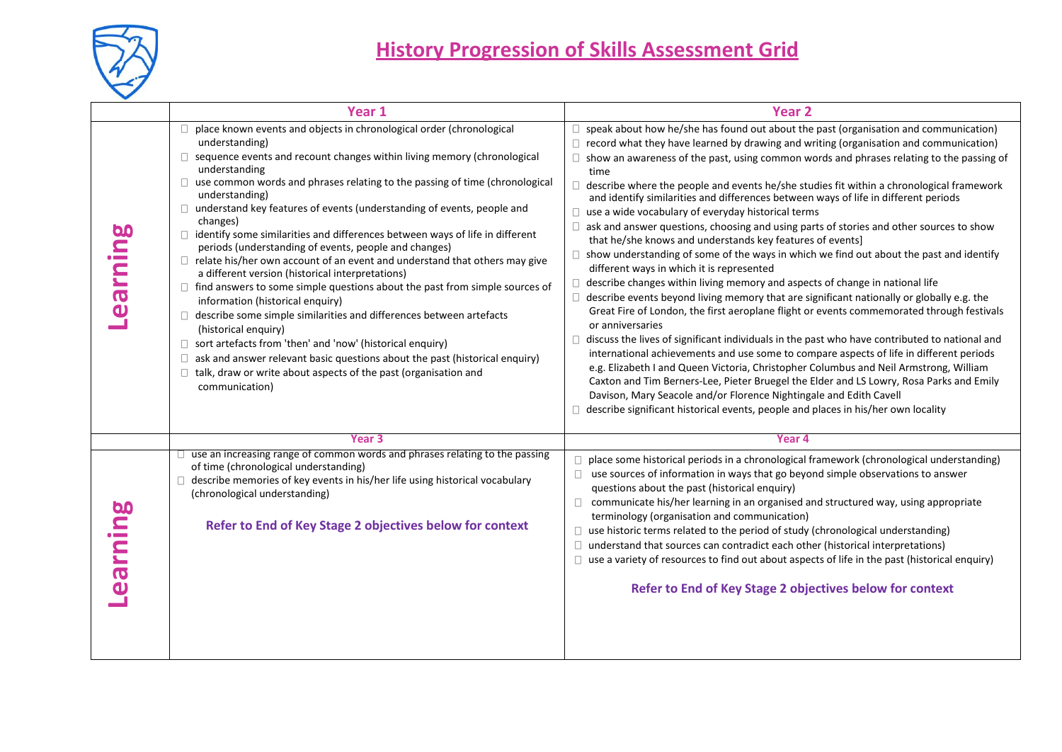

|                                                                                                                                                                                                                                                                                                                                                                                                                                                                                                                                                                                                                                                                                                                                                                                                                                                                                                                                                                                                                                                                                                                                     | <b>Year 2</b>                                                                                                                                                                                                                                                                                                                                                                                                                                                                                                                                                                                                                                                                                                                                                                                                                                                                                                                                                                                                                                                                                                                                                                                                                                                                                                                                                                                                                                                                                                                                                                                                                                                                            |
|-------------------------------------------------------------------------------------------------------------------------------------------------------------------------------------------------------------------------------------------------------------------------------------------------------------------------------------------------------------------------------------------------------------------------------------------------------------------------------------------------------------------------------------------------------------------------------------------------------------------------------------------------------------------------------------------------------------------------------------------------------------------------------------------------------------------------------------------------------------------------------------------------------------------------------------------------------------------------------------------------------------------------------------------------------------------------------------------------------------------------------------|------------------------------------------------------------------------------------------------------------------------------------------------------------------------------------------------------------------------------------------------------------------------------------------------------------------------------------------------------------------------------------------------------------------------------------------------------------------------------------------------------------------------------------------------------------------------------------------------------------------------------------------------------------------------------------------------------------------------------------------------------------------------------------------------------------------------------------------------------------------------------------------------------------------------------------------------------------------------------------------------------------------------------------------------------------------------------------------------------------------------------------------------------------------------------------------------------------------------------------------------------------------------------------------------------------------------------------------------------------------------------------------------------------------------------------------------------------------------------------------------------------------------------------------------------------------------------------------------------------------------------------------------------------------------------------------|
| place known events and objects in chronological order (chronological<br>understanding)<br>sequence events and recount changes within living memory (chronological<br>understanding<br>use common words and phrases relating to the passing of time (chronological<br>understanding)<br>understand key features of events (understanding of events, people and<br>changes)<br>$\Box$ identify some similarities and differences between ways of life in different<br>periods (understanding of events, people and changes)<br>$\Box$ relate his/her own account of an event and understand that others may give<br>a different version (historical interpretations)<br>$\Box$ find answers to some simple questions about the past from simple sources of<br>information (historical enquiry)<br>describe some simple similarities and differences between artefacts<br>(historical enquiry)<br>$\Box$ sort artefacts from 'then' and 'now' (historical enquiry)<br>ask and answer relevant basic questions about the past (historical enquiry)<br>talk, draw or write about aspects of the past (organisation and<br>communication) | speak about how he/she has found out about the past (organisation and communication)<br>$\Box$ record what they have learned by drawing and writing (organisation and communication)<br>$\Box$ show an awareness of the past, using common words and phrases relating to the passing of<br>time<br>describe where the people and events he/she studies fit within a chronological framework<br>and identify similarities and differences between ways of life in different periods<br>use a wide vocabulary of everyday historical terms<br>ask and answer questions, choosing and using parts of stories and other sources to show<br>that he/she knows and understands key features of events]<br>$\Box$ show understanding of some of the ways in which we find out about the past and identify<br>different ways in which it is represented<br>describe changes within living memory and aspects of change in national life<br>describe events beyond living memory that are significant nationally or globally e.g. the<br>Great Fire of London, the first aeroplane flight or events commemorated through festivals<br>or anniversaries<br>discuss the lives of significant individuals in the past who have contributed to national and<br>international achievements and use some to compare aspects of life in different periods<br>e.g. Elizabeth I and Queen Victoria, Christopher Columbus and Neil Armstrong, William<br>Caxton and Tim Berners-Lee, Pieter Bruegel the Elder and LS Lowry, Rosa Parks and Emily<br>Davison, Mary Seacole and/or Florence Nightingale and Edith Cavell<br>describe significant historical events, people and places in his/her own locality |
| Year <sub>3</sub>                                                                                                                                                                                                                                                                                                                                                                                                                                                                                                                                                                                                                                                                                                                                                                                                                                                                                                                                                                                                                                                                                                                   | Year 4                                                                                                                                                                                                                                                                                                                                                                                                                                                                                                                                                                                                                                                                                                                                                                                                                                                                                                                                                                                                                                                                                                                                                                                                                                                                                                                                                                                                                                                                                                                                                                                                                                                                                   |
| of time (chronological understanding)<br>$\Box$ describe memories of key events in his/her life using historical vocabulary<br>(chronological understanding)<br>Refer to End of Key Stage 2 objectives below for context                                                                                                                                                                                                                                                                                                                                                                                                                                                                                                                                                                                                                                                                                                                                                                                                                                                                                                            | $\Box$ place some historical periods in a chronological framework (chronological understanding)<br>$\Box$ use sources of information in ways that go beyond simple observations to answer<br>questions about the past (historical enquiry)<br>$\Box$ communicate his/her learning in an organised and structured way, using appropriate<br>terminology (organisation and communication)<br>$\Box$ use historic terms related to the period of study (chronological understanding)<br>$\Box$ understand that sources can contradict each other (historical interpretations)<br>$\Box$ use a variety of resources to find out about aspects of life in the past (historical enquiry)<br>Refer to End of Key Stage 2 objectives below for context                                                                                                                                                                                                                                                                                                                                                                                                                                                                                                                                                                                                                                                                                                                                                                                                                                                                                                                                           |
|                                                                                                                                                                                                                                                                                                                                                                                                                                                                                                                                                                                                                                                                                                                                                                                                                                                                                                                                                                                                                                                                                                                                     | Year 1<br>use an increasing range of common words and phrases relating to the passing                                                                                                                                                                                                                                                                                                                                                                                                                                                                                                                                                                                                                                                                                                                                                                                                                                                                                                                                                                                                                                                                                                                                                                                                                                                                                                                                                                                                                                                                                                                                                                                                    |